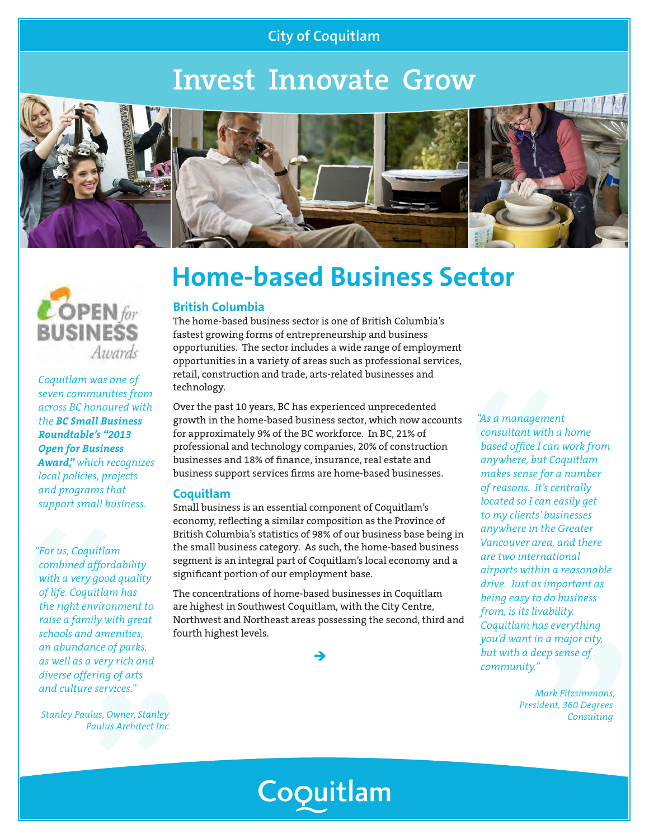### **City of Coquitlam**

# **Invest Innovate Grow**







*Coquitlam was one of seven communities from across BC honoured with the BC Small Business Roundtable's "2013 Open for Business Award," which recognizes local policies, projects and programs that support small business.*

*"For us, Coquitlam combined affordability with a very good quality of life. Coquitlam has the right environment to raise a family with great schools and amenities, an abundance of parks, as well as a very rich and diverse offering of arts and culture services."*

*Stanley Paulus, Owner, Stanley Paulus Architect Inc.*

## **Home-based Business Sector**

### **British Columbia**

The home-based business sector is one of British Columbia's fastest growing forms of entrepreneurship and business opportunities. The sector includes a wide range of employment opportunities in a variety of areas such as professional services, retail, construction and trade, arts-related businesses and technology.

Over the past 10 years, BC has experienced unprecedented growth in the home-based business sector, which now accounts for approximately 9% of the BC workforce. In BC, 21% of professional and technology companies, 20% of construction businesses and 18% of finance, insurance, real estate and business support services firms are home-based businesses.

#### **Coquitlam**

Small business is an essential component of Coquitlam's economy, reflecting a similar composition as the Province of British Columbia's statistics of 98% of our business base being in the small business category. As such, the home-based business segment is an integral part of Coquitlam's local economy and a significant portion of our employment base.

The concentrations of home-based businesses in Coquitlam are highest in Southwest Coquitlam, with the City Centre, Northwest and Northeast areas possessing the second, third and fourth highest levels.

 $\rightarrow$ 

*"As a management consultant with a home based office I can work from anywhere, but Coquitlam makes sense for a number of reasons. It's centrally located so I can easily get to my clients' businesses anywhere in the Greater Vancouver area, and there are two international airports within a reasonable drive. Just as important as being easy to do business from, is its livability. Coquitlam has everything you'd want in a major city, but with a deep sense of community."*

> *Mark Fitzsimmons, President, 360 Degrees Consulting*